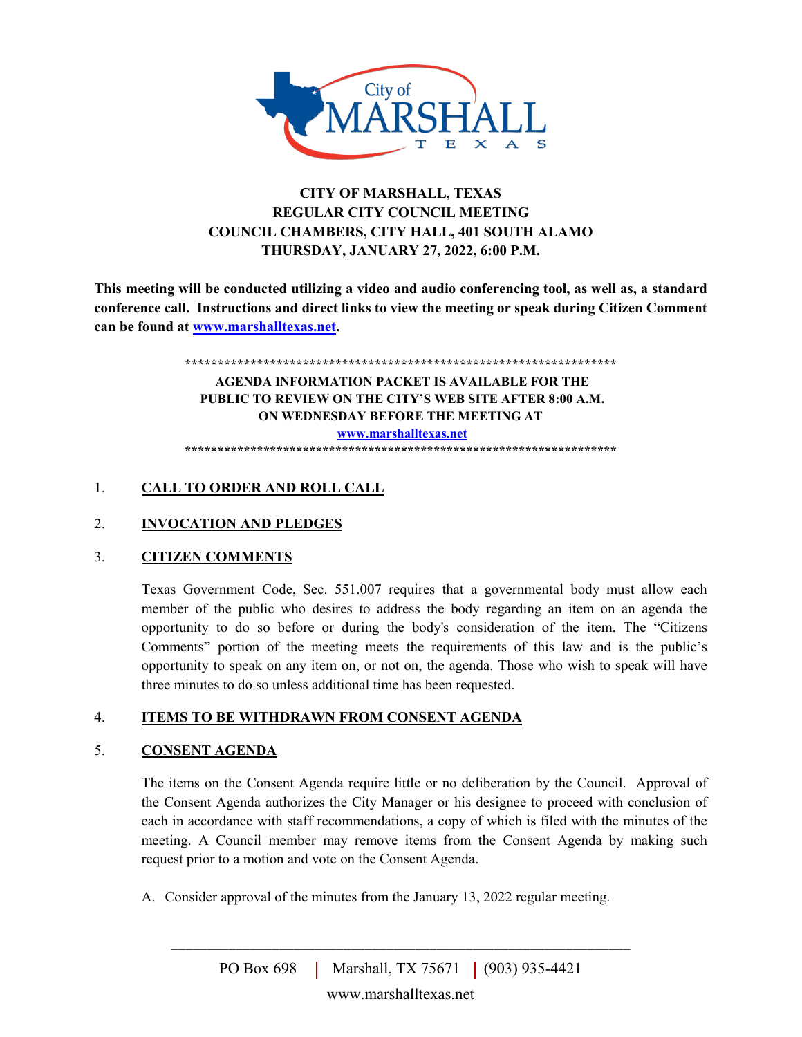

# **CITY OF MARSHALL, TEXAS REGULAR CITY COUNCIL MEETING COUNCIL CHAMBERS, CITY HALL, 401 SOUTH ALAMO THURSDAY, JANUARY 27, 2022, 6:00 P.M.**

**This meeting will be conducted utilizing a video and audio conferencing tool, as well as, a standard conference call. Instructions and direct links to view the meeting or speak during Citizen Comment can be found at [www.marshalltexas.net.](http://www.marshalltexas.net/)**

#### **\*\*\*\*\*\*\*\*\*\*\*\*\*\*\*\*\*\*\*\*\*\*\*\*\*\*\*\*\*\*\*\*\*\*\*\*\*\*\*\*\*\*\*\*\*\*\*\*\*\*\*\*\*\*\*\*\*\*\*\*\*\*\*\*\*\* AGENDA INFORMATION PACKET IS AVAILABLE FOR THE PUBLIC TO REVIEW ON THE CITY'S WEB SITE AFTER 8:00 A.M. ON WEDNESDAY BEFORE THE MEETING AT [www.marshalltexas.net](http://www.marshalltexas.net/) \*\*\*\*\*\*\*\*\*\*\*\*\*\*\*\*\*\*\*\*\*\*\*\*\*\*\*\*\*\*\*\*\*\*\*\*\*\*\*\*\*\*\*\*\*\*\*\*\*\*\*\*\*\*\*\*\*\*\*\*\*\*\*\*\*\***

# 1. **CALL TO ORDER AND ROLL CALL**

# 2. **INVOCATION AND PLEDGES**

# 3. **CITIZEN COMMENTS**

Texas Government Code, Sec. 551.007 requires that a governmental body must allow each member of the public who desires to address the body regarding an item on an agenda the opportunity to do so before or during the body's consideration of the item. The "Citizens Comments" portion of the meeting meets the requirements of this law and is the public's opportunity to speak on any item on, or not on, the agenda. Those who wish to speak will have three minutes to do so unless additional time has been requested.

# 4. **ITEMS TO BE WITHDRAWN FROM CONSENT AGENDA**

# 5. **CONSENT AGENDA**

The items on the Consent Agenda require little or no deliberation by the Council. Approval of the Consent Agenda authorizes the City Manager or his designee to proceed with conclusion of each in accordance with staff recommendations, a copy of which is filed with the minutes of the meeting. A Council member may remove items from the Consent Agenda by making such request prior to a motion and vote on the Consent Agenda.

A. Consider approval of the minutes from the January 13, 2022 regular meeting.

\_\_\_\_\_\_\_\_\_\_\_\_\_\_\_\_\_\_\_\_\_\_\_\_\_\_\_\_\_\_\_\_\_\_\_\_\_\_\_\_\_\_\_\_\_\_\_\_\_\_\_\_\_\_\_\_\_\_\_\_\_\_\_\_